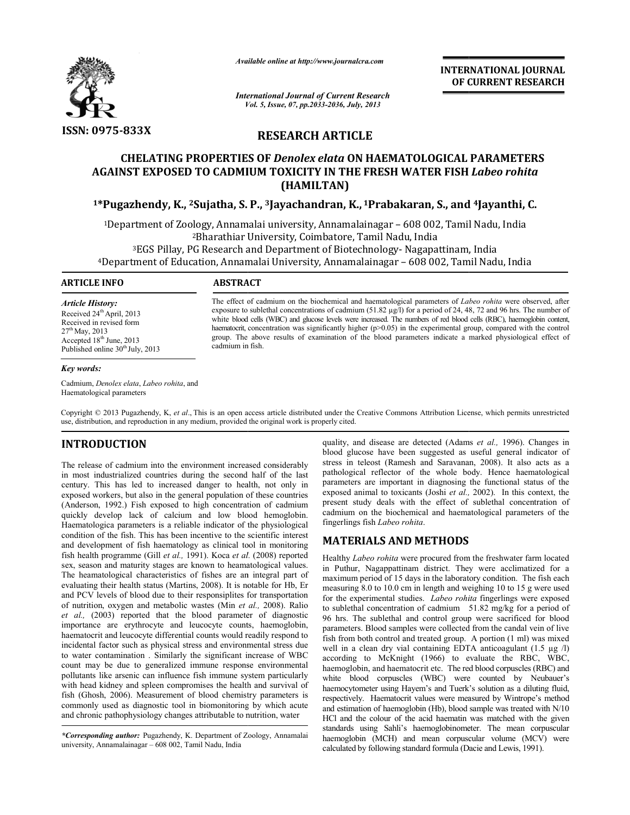

*Available online at http://www.journal http://www.journalcra.com*

*International Journal of Current Research Vol. 5, Issue, 07, pp.2033-2036, July, 2013*

**INTERNATIONAL INTERNATIONAL JOURNAL OF CURRENT RESEARCH** 

**RESEARCH ARTICLE**

# **CHELATING PROPERTIES OF CHELATING OF** *Denolex elata* **ON HAEMATOLOGICAL PARAMETERS AGAINST EXPOSED TO CADMIUM TOXICITY IN THE FRESH WATER FISH**  *Labeo rohita* **(HAMILTAN)**

## **1\*Pugazhendy, K., 2Sujatha, S. P., 3Jayachandran, K., 1Prabakaran, S., and 4Jayanthi, C.**

1Department of Zoology, Annamalai university, Annamalainagar 2Bharathiar University, Coimbatore Department – 608 002, Tamil Nadu, India <sup>3</sup>EGS Pillay, PG Research and Department of Biotechnology- Nagapattinam, India<br>4Department of Education, Annamalai University, Annamalainagar – 608 002, Tamil Nadu, India <sup>2</sup>Bharathiar University, Coimbatore, Tamil Nadu, India tment of Zoology, Annamalai university, Annamalainagar – 608 002, Tamil Nadu,<br>Pharathiar University, Coimbatore, Tamil Nadu, India<br>EGS Pillay, PG Research and Department of Biotechnology- Nagapattinam, India

## **ARTICLE INFO ABSTRACT**

The effect of cadmium on the biochemical and haematological parameters of *Labeo rohita* were observed, after exposure to sublethal concentrations of cadmium (51.82  $\mu$ g/l) for a period of 24, 48, 72 and 96 hrs. The number of white blood cells (WBC) and glucose levels were increased. The numbers of red blood cells (RBC), haemoglobin content, white blood cells (WBC) and glucose levels were increased. The numbers of red blood cells (RBC), haemoglobin content, haematocrit, concentration was significantly higher (p>0.05) in the experimental group, compared with th group. The above results of examination of the blood parameters indicate a marked physiological effect of cadmium in fish. sure to sublethal concentrations of cadmium (51.82 µg/l) for a period of 24, 48, 72 and 96 hrs. The number of<br>blood cells (WBC) and glucose levels were increased. The numbers of red blood cells (RBC), haemoglobin content<br>a

*Article History:* Received 24<sup>th</sup> April, 2013 Received in revised form 27th May, 2013 Accepted 18<sup>th</sup> June, 2013 Published online 30<sup>th</sup> July, 2013

### *Key words:*

Cadmium, *Denolex elata*, *Labeo rohita*, and Haematological parameters

Copyright © 2013 Pugazhendy, K, *et al*., This is an open access article distributed under the Creative Commons Attribution License, which permits unrestricted use, distribution, and reproduction in any medium, provided the original work is properly cited.

# **INTRODUCTION**

use, distribution, and reproduction in any medium, provided the original work is<br> **INTRODUCTION**<br>
The release of cadmium into the environment increased considerably in most industrialized countries during the second half of the last century. This has led to increased danger to health, not only in exposed workers, but also in the general population of these countries (Anderson, 1992.) Fish exposed to high concentration of cadmium quickly develop lack of calcium and low blood hemoglobin. Haematologica parameters is a reliable indicator of the physiological condition of the fish. This has been incentive to the scientific interest and development of fish haematology as clinical tool in monitoring fish health programme (Gill *et al.*, 1991). Koca *et al.* (2008) reported sex, season and maturity stages are known to heamatological values. The heamatological characteristics of fishes are an integral part of evaluating their health status (Martins, 2008). It is notable for Hb, Er and PCV levels of blood due to their responsiplites for transportation of nutrition, oxygen and metabolic wastes (Min *et al.,* 2008). Ralio *et al.,* (2003) reported that the blood parameter of diagnostic importance are erythrocyte and leucocyte counts, haemoglobin, haematocrit and leucocyte differential counts would readily respond to *et al.*, (2003) reported that the blood parameter of diagnostic importance are erythrocyte and leucocyte counts, haemoglobin, haematocrit and leucocyte differential counts would readily respond to incidental factor such a to water contamination . Similarly the significant increase of WBC count may be due to generalized immune response environmental pollutants like arsenic can influence fish immune system particularly to water contamination. Similarly the significant increase of WBC count may be due to generalized immune response environmental pollutants like arsenic can influence fish immune system particularly with head kidney and spl fish (Ghosh, 2006). Measurement of blood chemistry parameters is commonly used as diagnostic tool in biomonitoring by which acute and chronic pathophysiology changes attributable to nutrition, water in most industrialized countries during the second half of the last century. This has led to increased danger to health, not only in exposed workers, but also in the general population of these countries (Anderson, 1992.) turity stages are known to hea<br>1 characteristics of fishes are<br>1th status (Martins, 2008). It is<br>blood due to their responsiplit **NV**<br>
youtility, and disease are detected (Adams<br>
un into the environment increased considerably<br>
stress in teleost (Ramssh and Saravanan,<br>
d to increased danger to health, not only in parameters are important in diagnosi

blood glucose have been suggested as useful general indicator of blood glucose have been suggested as useful general indicator of stress in teleost (Ramesh and Saravanan, 2008). It also acts as a pathological reflector of the whole body. Hence haematological parameters are important in diagnosing the functional status of the pathological reflector of the whole body. Hence haematological parameters are important in diagnosing the functional status of the exposed animal to toxicants (Joshi *et al.*, 2002). In this context, the present study deals with the effect of sublethal concentration of cadmium on the biochemical and haematological parameters of the fingerlings fish *Labeo rohita*.

## **MATERIALS AND METHODS**

Healthy *Labeo rohita* were procured from the freshwater farm located in Puthur, Nagappattinam district. They were acclimatized for a maximum period of 15 days in the laboratory condition. The fish each measuring 8.0 to 10.0 cm in length and weighing 10 to 15 g were used for the experimental studies. *Labeo rohita* fingerlings were exposed to sublethal concentration of cadmium 51.82 mg/kg for a period of 96 hrs. The sublethal and control group were sacrificed for blood to sublethal concentration of cadmium 51.82 mg/kg for a period of 96 hrs. The sublethal and control group were sacrificed for blood parameters. Blood samples were collected from the candal vein of live fish from both control and treated group. A portion (1 ml) was mixed well in a clean dry vial containing EDTA anticoagulant (1.5 µg /l) according to McKnight (1966) to evaluate the RBC, WBC, fish from both control and treated group. A portion (1 ml) was mixed<br>well in a clean dry vial containing EDTA anticoagulant (1.5 µg /l)<br>according to McKnight (1966) to evaluate the RBC, WBC,<br>haemoglobin, and haematocrit et white blood corpuscles (WBC) were counted by Neubauer's haemocytometer using Hayem's and Tuerk's solution as a diluting fluid, respectively. Haematocrit values were measured by Wintrope's method and estimation of haemoglobin (Hb), blood sample was treated with N/10 HCl and the colour of the acid haematin was matched with the given standards using Sahli's haemoglobinometer. The mean corpuscular haemoglobin (MCH) and mean corpuscular volume (MCV) were calculated by following standard formula (Dacie and Lewis, 1991). the the effect of sublethal concentration of<br>mical and haematological parameters of the<br>*hita.*<br>**D METHODS**<br>ere procured from the freshwater farm located<br>am district. They were acclimatized for a<br>lays in the laboratory c orpuscles (WBC) were counted by Neubauer's using Hayem's and Tuerk's solution as a diluting fluid, ematocrit values were measured by Wintrope's method haemoglobin (Hb), blood sample was treated with N/10 **INTERNATIONAL JOURNAL OF CURRENT RESEARCH COF CURRENT RESEARCH WATEER FISH** *Labeo rohita***<br>
HATOLOGICAL PARAMETERS<br>
WATER FISH** *Labeo rohita***<br>
akaran, S., and <sup>4</sup>Jayanthi, C. -608 002, Tamil Nadu, India<br>
acu, India<br>
acu,** 

*<sup>\*</sup>Corresponding author:* Pugazhendy, K. Department of Zoology, Annamalai university, Annamalainagar – 608 002, Tamil Nadu, India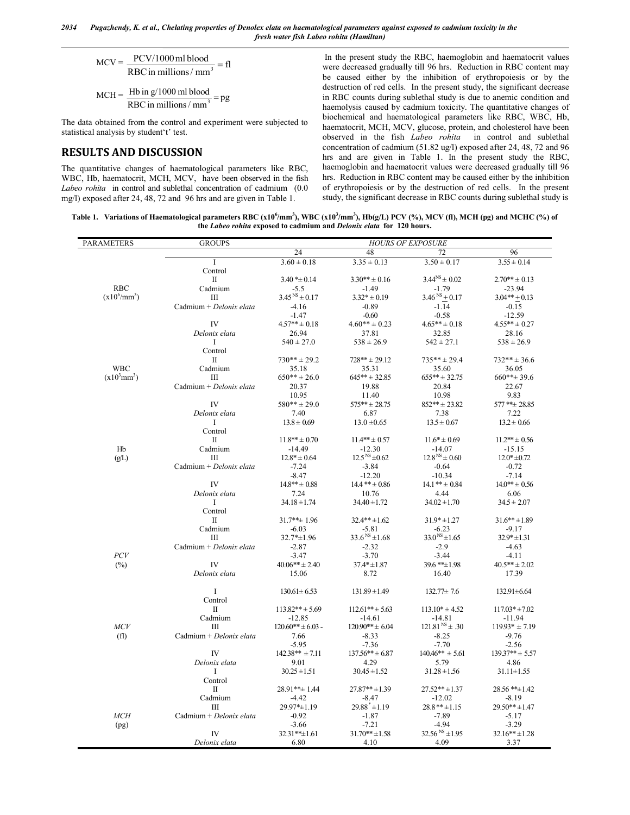*2034 Pugazhendy, K. et al., Chelating properties of Denolex elata on haematological parameters against exposed to cadmium toxicity in the fresh water fish Labeo rohita (Hamiltan)*

$$
MCV = \frac{PCV/1000 \text{ ml blood}}{RBC in millions/ mm3} = fl
$$

$$
MCH = \frac{Hb \text{ in } g/1000 \text{ ml blood}}{RBC \text{ in millions} / \text{mm}^3} = pg
$$

The data obtained from the control and experiment were subjected to statistical analysis by student't' test.

## **RESULTS AND DISCUSSION**

The quantitative changes of haematological parameters like RBC, WBC, Hb, haematocrit, MCH, MCV, have been observed in the fish *Labeo rohita* in control and sublethal concentration of cadmium (0.0 mg/l) exposed after 24, 48, 72 and 96 hrs and are given in Table 1.

In the present study the RBC, haemoglobin and haematocrit values were decreased gradually till 96 hrs. Reduction in RBC content may be caused either by the inhibition of erythropoiesis or by the destruction of red cells. In the present study, the significant decrease in RBC counts during sublethal study is due to anemic condition and haemolysis caused by cadmium toxicity. The quantitative changes of biochemical and haematological parameters like RBC, WBC, Hb, haematocrit, MCH, MCV, glucose, protein, and cholesterol have been observed in the fish *Labeo rohita* in control and sublethal concentration of cadmium (51.82 ug/l) exposed after 24, 48, 72 and 96 hrs and are given in Table 1. In the present study the RBC, haemoglobin and haematocrit values were decreased gradually till 96 hrs. Reduction in RBC content may be caused either by the inhibition of erythropoiesis or by the destruction of red cells. In the present study, the significant decrease in RBC counts during sublethal study is

Table 1. Variations of Haematological parameters RBC (x10<sup>6</sup>/mm<sup>3</sup>), WBC (x10<sup>3</sup>/mm<sup>3</sup>), Hb(g/L) PCV (%), MCV (fl), MCH (pg) and MCHC (%) of **the** *Labeo rohita* **exposed to cadmium and** *Delonix elata* **for 120 hours.**

| PARAMETERS                 | <b>GROUPS</b>           | <b>HOURS OF EXPOSURE</b> |                        |                       |                     |
|----------------------------|-------------------------|--------------------------|------------------------|-----------------------|---------------------|
|                            |                         | 24                       | 48                     | 72                    | 96                  |
|                            | Τ                       | $3.60 \pm 0.18$          | $3.35 \pm 0.13$        | $3.50 \pm 0.17$       | $3.55 \pm 0.14$     |
|                            | Control                 |                          |                        |                       |                     |
|                            | П                       | $3.40 * \pm 0.14$        | $3.30** \pm 0.16$      | $3.44^{NS} \pm 0.02$  | $2.70*** \pm 0.13$  |
| <b>RBC</b>                 | Cadmium                 | $-5.5$                   | $-1.49$                | $-1.79$               | $-23.94$            |
| $(x10^6/\text{mm}^3)$      | Ш                       | $3.45^{NS} \pm 0.17$     | $3.32* \pm 0.19$       | $3.46^{NS} + 0.17$    | $3.04*** + 0.13$    |
|                            | Cadmium + Delonix elata | $-4.16$                  | $-0.89$                | $-1.14$               | $-0.15$             |
|                            |                         | $-1.47$                  | $-0.60$                | $-0.58$               | $-12.59$            |
|                            | IV                      | $4.57** \pm 0.18$        | $4.60** \pm 0.23$      | $4.65*** \pm 0.18$    | $4.55*** \pm 0.27$  |
|                            | Delonix elata           | 26.94                    | 37.81                  | 32.85                 | 28.16               |
|                            | Ι.                      | $540 \pm 27.0$           | $538 \pm 26.9$         | $542 \pm 27.1$        | $538 \pm 26.9$      |
|                            | Control                 |                          |                        |                       |                     |
|                            | $\mathbf{I}$            | $730** + 29.2$           | $728***$ ± 29.12       | $735***$ ± 29.4       | $732***$ $\pm$ 36.6 |
| <b>WBC</b>                 | Cadmium                 | 35.18                    | 35.31                  | 35.60                 | 36.05               |
| $(x10^3$ mm <sup>3</sup> ) | Ш                       | $650***\pm 26.0$         | $645***$ $\pm$ 32.85   | $655***$ ± 32.75      | $660***\pm 39.6$    |
|                            | Cadmium + Delonix elata | 20.37                    | 19.88                  | 20.84                 | 22.67               |
|                            |                         | 10.95                    | 11.40                  | 10.98                 | 9.83                |
|                            | IV                      | $580** + 29.0$           | $575***$ $\pm$ 28.75   | $852***$ ± 23.82      | 577**± 28.85        |
|                            | Delonix elata           | 7.40                     | 6.87                   | 7.38                  | 7.22                |
|                            | $\bf{I}$                | $13.8 \pm 0.69$          | $13.0 \pm 0.65$        | $13.5 \pm 0.67$       | $13.2 \pm 0.66$     |
|                            | Control                 |                          |                        |                       |                     |
|                            | П                       | $11.8** \pm 0.70$        | $11.4*** \pm 0.57$     | $11.6* \pm 0.69$      | $11.2*** \pm 0.56$  |
| Hb                         | Cadmium                 | $-14.49$                 | $-12.30$               | $-14.07$              | $-15.15$            |
| (g/L)                      | Ш                       | $12.8* \pm 0.64$         | $12.5^{NS} \pm 0.62$   | $12.8^{NS} \pm 0.60$  | $12.0* \pm 0.72$    |
|                            | Cadmium + Delonix elata | $-7.24$                  | $-3.84$                | $-0.64$               | $-0.72$             |
|                            |                         | $-8.47$                  | $-12.20$               | $-10.34$              | $-7.14$             |
|                            | IV                      | $14.8*** + 0.88$         | $14.4$ ** $\pm$ 0.86   | $14.1*** \pm 0.84$    | $14.0*** \pm 0.56$  |
|                            | Delonix elata           | 7.24                     | 10.76                  | 4.44                  | 6.06                |
|                            | Ι                       | $34.18 \pm 1.74$         | $34.40 \pm 1.72$       | $34.02 \pm 1.70$      | $34.5 \pm 2.07$     |
|                            | Control                 |                          |                        |                       |                     |
|                            | П                       | $31.7***$ 1.96           | $32.4*** \pm 1.62$     | $31.9* \pm 1.27$      | $31.6*** \pm 1.89$  |
|                            | Cadmium                 | $-6.03$                  | $-5.81$                | $-6.23$               | $-9.17$             |
|                            | Ш                       | 32.7*±1.96               | $33.6^{NS} \pm 1.68$   | $33.0^{NS}$ ± 1.65    | $32.9* \pm 1.31$    |
|                            | Cadmium + Delonix elata | $-2.87$                  | $-2.32$                | $-2.9$                | $-4.63$             |
| PCV                        |                         | $-3.47$                  | $-3.70$                | $-3.44$               | $-4.11$             |
| $(\%)$                     | IV                      | $40.06** + 2.40$         | $37.4* \pm 1.87$       | 39.6 ** ± 1.98        | $40.5*** \pm 2.02$  |
|                            | Delonix elata           | 15.06                    | 8.72                   | 16.40                 | 17.39               |
|                            |                         |                          |                        |                       |                     |
|                            | $\bf{I}$                | $130.61 \pm 6.53$        | $131.89 \pm 1.49$      | $132.77 \pm 7.6$      | 132.91±6.64         |
|                            | Control                 |                          |                        |                       |                     |
|                            | П                       | $113.82** \pm 5.69$      | $112.61*** \pm 5.63$   | $113.10* \pm 4.52$    | $117.03* \pm 7.02$  |
|                            | Cadmium                 | $-12.85$                 | $-14.61$               | $-14.81$              | $-11.94$            |
| MCV                        | Ш                       | $120.60** \pm 6.03$ -    | $120.90** + 6.04$      | $121.81NS \pm .30$    | $119.93* + 7.19$    |
| (f <sub>1</sub> )          | Cadmium + Delonix elata | 7.66                     | $-8.33$                | $-8.25$               | $-9.76$             |
|                            |                         | $-5.95$                  | $-7.36$                | $-7.70$               | $-2.56$             |
|                            | IV                      | $142.38** + 7.11$        | $137.56***$ $\pm 6.87$ | $140.46** \pm 5.61$   | $139.37** + 5.57$   |
|                            | Delonix elata           | 9.01                     | 4.29                   | 5.79                  | 4.86                |
|                            | Ι.                      | $30.25 \pm 1.51$         | $30.45 \pm 1.52$       | $31.28 \pm 1.56$      | $31.11 \pm 1.55$    |
|                            | Control                 |                          |                        |                       |                     |
|                            | П                       | 28.91**± 1.44            | $27.87** \pm 1.39$     | $27.52** \pm 1.37$    | 28.56 ** ±1.42      |
|                            | Cadmium                 | $-4.42$                  | $-8.47$                | $-12.02$              | $-8.19$             |
|                            | Ш                       | 29.97*±1.19              | $29.88^* \pm 1.19$     | $28.8**+1.15$         | $29.50** \pm 1.47$  |
| MCH                        | Cadmium + Delonix elata | $-0.92$                  | $-1.87$                | $-7.89$               | $-5.17$             |
|                            |                         | $-3.66$                  | $-7.21$                | $-4.94$               | $-3.29$             |
| (pg)                       | IV                      |                          | $31.70*** \pm 1.58$    | $32.56^{NS} \pm 1.95$ |                     |
|                            |                         | 32.31**±1.61             |                        |                       | $32.16*** \pm 1.28$ |
|                            | Delonix elata           | 6.80                     | 4.10                   | 4.09                  | 3.37                |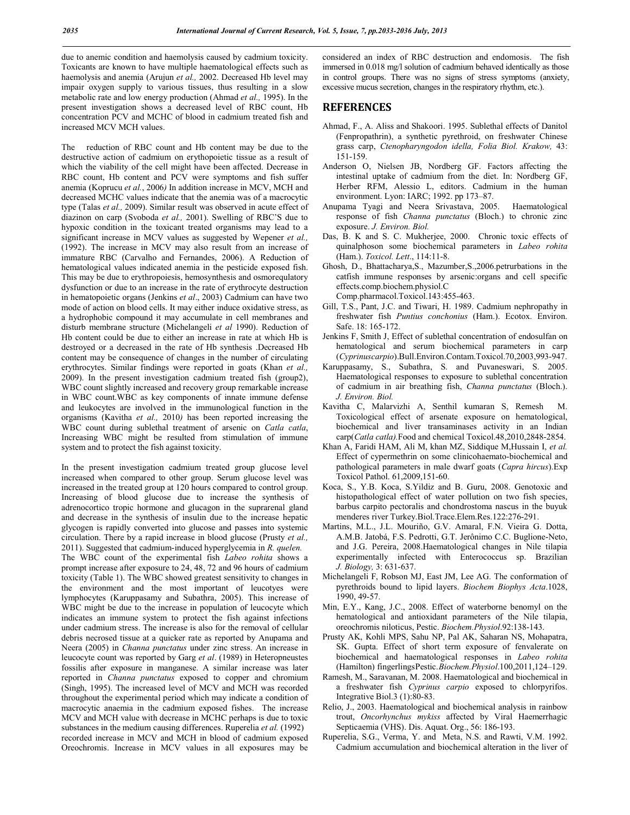due to anemic condition and haemolysis caused by cadmium toxicity. Toxicants are known to have multiple haematological effects such as haemolysis and anemia (Arujun *et al.,* 2002. Decreased Hb level may impair oxygen supply to various tissues, thus resulting in a slow metabolic rate and low energy production (Ahmad *et al.,* 1995). In the present investigation shows a decreased level of RBC count, Hb concentration PCV and MCHC of blood in cadmium treated fish and increased MCV MCH values.

The reduction of RBC count and Hb content may be due to the destructive action of cadmium on erythopoietic tissue as a result of which the viability of the cell might have been affected. Decrease in RBC count, Hb content and PCV were symptoms and fish suffer anemia (Koprucu *et al.*, 2006*)* In addition increase in MCV, MCH and decreased MCHC values indicate that the anemia was of a macrocytic type (Talas *et al.,* 2009). Similar result was observed in acute effect of diazinon on carp (Svoboda *et al.,* 2001). Swelling of RBC'S due to hypoxic condition in the toxicant treated organisms may lead to a significant increase in MCV values as suggested by Wepener *et al.,* (1992). The increase in MCV may also result from an increase of immature RBC (Carvalho and Fernandes, 2006). A Reduction of hematological values indicated anemia in the pesticide exposed fish. This may be due to erythropoiesis, hemosynthesis and osmorequlatory dysfunction or due to an increase in the rate of erythrocyte destruction in hematopoietic organs (Jenkins *et al*., 2003) Cadmium can have two mode of action on blood cells. It may either induce oxidative stress, as a hydrophobic compound it may accumulate in cell membranes and disturb membrane structure (Michelangeli *et al* 1990). Reduction of Hb content could be due to either an increase in rate at which Hb is destroyed or a decreased in the rate of Hb synthesis .Decreased Hb content may be consequence of changes in the number of circulating erythrocytes. Similar findings were reported in goats (Khan *et al.,* 2009). In the present investigation cadmium treated fish (group2), WBC count slightly increased and recovery group remarkable increase in WBC count.WBC as key components of innate immune defense and leukocytes are involved in the immunological function in the organisms (Kavitha *et al.,* 2010*)* has been reported increasing the WBC count during sublethal treatment of arsenic on *Catla catla*, Increasing WBC might be resulted from stimulation of immune system and to protect the fish against toxicity.

In the present investigation cadmium treated group glucose level increased when compared to other group. Serum glucose level was increased in the treated group at 120 hours compared to control group. Increasing of blood glucose due to increase the synthesis of adrenocortico tropic hormone and glucagon in the suprarenal gland and decrease in the synthesis of insulin due to the increase hepatic glycogen is rapidly converted into glucose and passes into systemic circulation. There by a rapid increase in blood glucose (Prusty *et al.,* 2011). Suggested that cadmium-induced hyperglycemia in *R. quelen.* The WBC count of the experimental fish *Labeo rohita* shows a prompt increase after exposure to 24, 48, 72 and 96 hours of cadmium toxicity (Table 1). The WBC showed greatest sensitivity to changes in the environment and the most important of leucotyes were lymphocytes (Karuppasamy and Subathra, 2005). This increase of WBC might be due to the increase in population of leucocyte which indicates an immune system to protect the fish against infections under cadmium stress. The increase is also for the removal of cellular debris necrosed tissue at a quicker rate as reported by Anupama and Neera (2005) in *Channa punctatus* under zinc stress. An increase in leucocyte count was reported by Garg *et al*. (1989) in Heteropneustes fossilis after exposure in manganese. A similar increase was later reported in *Channa punctatus* exposed to copper and chromium (Singh, 1995). The increased level of MCV and MCH was recorded throughout the experimental period which may indicate a condition of macrocytic anaemia in the cadmium exposed fishes. The increase MCV and MCH value with decrease in MCHC perhaps is due to toxic substances in the medium causing differences. Ruperelia *et al.* (1992) recorded increase in MCV and MCH in blood of cadmium exposed Oreochromis. Increase in MCV values in all exposures may be considered an index of RBC destruction and endomosis. The fish immersed in 0.018 mg/l solution of cadmium behaved identically as those in control groups. There was no signs of stress symptoms (anxiety, excessive mucus secretion, changes in the respiratory rhythm, etc.).

## **REFERENCES**

- Ahmad, F., A. Aliss and Shakoori. 1995. Sublethal effects of Danitol (Fenpropathrin), a synthetic pyrethroid, on freshwater Chinese grass carp, *Ctenopharyngodon idella, Folia Biol. Krakow,* 43: 151-159.
- Anderson O, Nielsen JB, Nordberg GF. Factors affecting the intestinal uptake of cadmium from the diet. In: Nordberg GF, Herber RFM, Alessio L, editors. Cadmium in the human environment. Lyon: IARC; 1992. pp 173–87.
- Anupama Tyagi and Neera Srivastava, 2005. Haematological response of fish *Channa punctatus* (Bloch.) to chronic zinc exposure. *J. Environ. Biol.*
- Das, B. K and S. C. Mukherjee, 2000. Chronic toxic effects of quinalphoson some biochemical parameters in *Labeo rohita* (Ham.). *Toxicol. Lett*., 114:11-8.
- Ghosh, D., Bhattacharya,S., Mazumber,S.,2006.petrurbations in the catfish immune responses by arsenic:organs and cell specific effects.comp.biochem.physiol.C Comp.pharmacol.Toxicol.143:455-463.
- Gill, T.S., Pant, J.C. and Tiwari, H. 1989. Cadmium nephropathy in freshwater fish *Puntius conchonius* (Ham.). Ecotox. Environ. Safe. 18: 165-172.
- Jenkins F, Smith J, Effect of sublethal concentration of endosulfan on hematological and serum biochemical parameters in carp (*Cyprinuscarpio*).Bull.Environ.Contam.Toxicol.70,2003,993-947.
- Karuppasamy, S., Subathra, S. and Puvaneswari, S. 2005. Haematological responses to exposure to sublethal concentration of cadmium in air breathing fish, *Channa punctatus* (Bloch.). *J. Environ. Biol.*
- Kavitha C, Malarvizhi A, Senthil kumaran S, Remesh M. Toxicological effect of arsenate exposure on hematological, biochemical and liver transaminases activity in an Indian carp(*Catla catla).*Food and chemical Toxicol.48,2010,2848-2854.
- Khan A, Faridi HAM, Ali M, khan MZ, Siddique M,Hussain I, *et al.* Effect of cypermethrin on some clinicohaemato-biochemical and pathological parameters in male dwarf goats (*Capra hircus*).Exp Toxicol Pathol. 61,2009,151-60.
- Koca, S., Y.B. Koca, S.Yildiz and B. Guru, 2008. Genotoxic and histopathological effect of water pollution on two fish species, barbus carpito pectoralis and chondrostoma nascus in the buyuk menderes river Turkey.Biol.Trace.Elem.Res.122:276-291.
- Martins, M.L., J.L. Mouriño, G.V. Amaral, F.N. Vieira G. Dotta, A.M.B. Jatobá, F.S. Pedrotti, G.T. Jerônimo C.C. Buglione-Neto, and J.G. Pereira, 2008.Haematological changes in Nile tilapia experimentally infected with Enterococcus sp. Brazilian *J. Biology,* 3: 631-637.
- Michelangeli F, Robson MJ, East JM, Lee AG. The conformation of pyrethroids bound to lipid layers. *Biochem Biophys Acta*.1028, 1990, 49-57.
- Min, E.Y., Kang, J.C., 2008. Effect of waterborne benomyl on the hematological and antioxidant parameters of the Nile tilapia, oreochromis niloticus, Pestic. *Biochem.Physiol*.92:138-143.
- Prusty AK, Kohli MPS, Sahu NP, Pal AK, Saharan NS, Mohapatra, SK. Gupta. Effect of short term exposure of fenvalerate on biochemical and haematological responses in *Labeo rohita*  (Hamilton) fingerlingsPestic.*Biochem.Physiol*.100,2011,124–129.
- Ramesh, M., Saravanan, M. 2008. Haematological and biochemical in a freshwater fish *Cyprinus carpio* exposed to chlorpyrifos. Integrative Biol.3 (1):80-83.
- Relio, J., 2003. Haematological and biochemical analysis in rainbow trout, *Oncorhynchus mykiss* affected by Viral Haemerrhagic Septicaemia (VHS). Dis. Aquat. Org., 56: 186-193.
- Ruperelia, S.G., Verma, Y. and Meta, N.S. and Rawti, V.M. 1992. Cadmium accumulation and biochemical alteration in the liver of